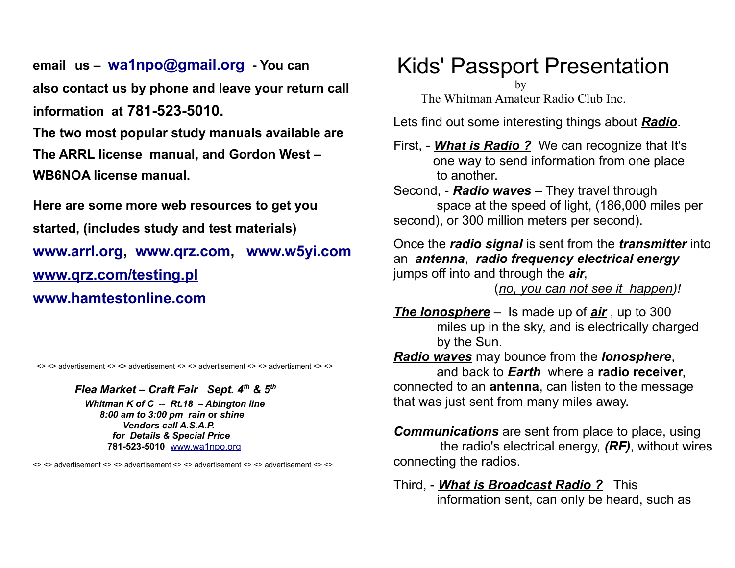**email us – [wa1npo@gmail.org](mailto:wa1npo@gmail.org) - You can also contact us by phone and leave your return call information at 781-523-5010.** 

**The two most popular study manuals available are The ARRL license manual, and Gordon West – WB6NOA license manual.**

**Here are some more web resources to get you started, (includes study and test materials) [www.arrl.org,](http://www.arrl.org/) [www.qrz.com,](http://www.qrz.com/) [www.w5yi.com](http://www.wy5i.com/) [www.qrz.com/testing.pl](http://www.qrz.com/testing.pl) [www.hamtestonline.com](http://www.hamtestonline.com/)**

<> <> advertisement <> <> advertisement <> <> advertisement <> <> advertisment <> <>

*Flea Market – Craft Fair Sept. 4th & 5th* 

 *Whitman K of C* -- *Rt.18 – Abington line 8:00 am to 3:00 pm rain* **or** *shine Vendors call A.S.A.P. for Details & Special Price*  **781-523-5010** [www.wa1npo.org](http://www.wa1npo.org/) 

<> <> advertisement <> <> advertisement <> <> advertisement <> <> advertisement <> <>

Kids' Passport Presentation

by

The Whitman Amateur Radio Club Inc.

Lets find out some interesting things about *Radio*.

First, - *What is Radio ?* We can recognize that It's one way to send information from one place to another.

Second, - *Radio waves* – They travel through space at the speed of light, (186,000 miles per second), or 300 million meters per second).

Once the *radio signal* is sent from the *transmitter* into an *antenna*, *radio frequency electrical energy* jumps off into and through the *air*,

(*no, you can not see it happen)!*

*The Ionosphere* – Is made up of *air* , up to 300 miles up in the sky, and is electrically charged by the Sun.

*Radio waves* may bounce from the *Ionosphere*, and back to *Earth* where a **radio receiver**, connected to an **antenna**, can listen to the message that was just sent from many miles away.

*Communications* are sent from place to place, using the radio's electrical energy, *(RF)*, without wires connecting the radios.

Third, - *What is Broadcast Radio ?* This information sent, can only be heard, such as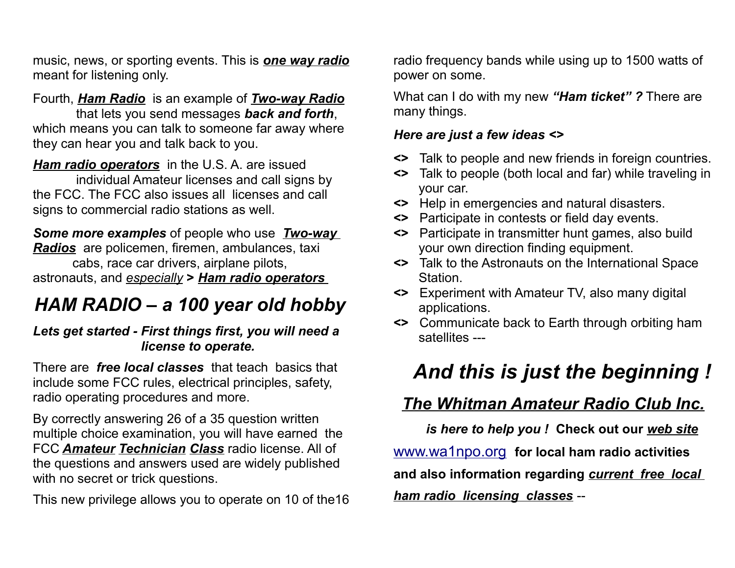music, news, or sporting events. This is *one way radio* meant for listening only.

### Fourth, *Ham Radio* is an example of *Two-way Radio*

 that lets you send messages *back and forth*, which means you can talk to someone far away where they can hear you and talk back to you.

*Ham radio operators* in the U.S. A. are issued individual Amateur licenses and call signs by the FCC. The FCC also issues all licenses and call signs to commercial radio stations as well.

#### *Some more examples* of people who use *Two-way Radios* are policemen, firemen, ambulances, taxi cabs, race car drivers, airplane pilots, astronauts, and *especially* **>** *Ham radio operators*

# *HAM RADIO – a 100 year old hobby*

### *Lets get started - First things first, you will need a license to operate.*

There are *free local classes* that teach basics that include some FCC rules, electrical principles, safety, radio operating procedures and more.

By correctly answering 26 of a 35 question written multiple choice examination, you will have earned the FCC *Amateur Technician Class* radio license. All of the questions and answers used are widely published with no secret or trick questions.

This new privilege allows you to operate on 10 of the16

radio frequency bands while using up to 1500 watts of power on some.

What can I do with my new *"Ham ticket" ?* There are many things.

#### *Here are just a few ideas <>*

- **<>** Talk to people and new friends in foreign countries.
- **<>** Talk to people (both local and far) while traveling in your car.
- **<>** Help in emergencies and natural disasters.
- **<>** Participate in contests or field day events.
- **<>** Participate in transmitter hunt games, also build your own direction finding equipment.
- **<>** Talk to the Astronauts on the International Space Station.
- **<>** Experiment with Amateur TV, also many digital applications.
- **<>** Communicate back to Earth through orbiting ham satellites ---

# *And this is just the beginning !*

## *The Whitman Amateur Radio Club Inc.*

 *is here to help you !* **Check out our** *web site* [www.wa1npo.org](http://www.wa1npo.org/) **for local ham radio activities and also information regarding** *current free local ham radio licensing classes* --